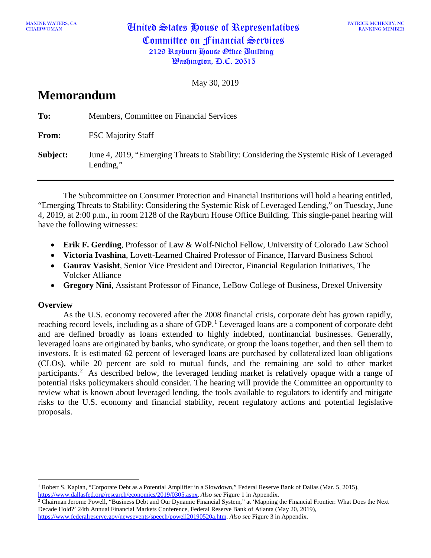MAXINE WATERS, CA **United States House of Representatives** Committee on Financial Services 2129 Rayburn House Office Building Washington, D.C. 20515

May 30, 2019

# **Memorandum**

| To:      | Members, Committee on Financial Services                                                              |
|----------|-------------------------------------------------------------------------------------------------------|
| From:    | <b>FSC Majority Staff</b>                                                                             |
| Subject: | June 4, 2019, "Emerging Threats to Stability: Considering the Systemic Risk of Leveraged<br>Lending," |

The Subcommittee on Consumer Protection and Financial Institutions will hold a hearing entitled, "Emerging Threats to Stability: Considering the Systemic Risk of Leveraged Lending," on Tuesday, June 4, 2019, at 2:00 p.m., in room 2128 of the Rayburn House Office Building. This single-panel hearing will have the following witnesses:

- **Erik F. Gerding**, Professor of Law & Wolf-Nichol Fellow, University of Colorado Law School
- **Victoria Ivashina**, Lovett-Learned Chaired Professor of Finance, Harvard Business School
- **Gaurav Vasisht**, Senior Vice President and Director, Financial Regulation Initiatives, The Volcker Alliance
- **Gregory Nini**, Assistant Professor of Finance, LeBow College of Business, Drexel University

## **Overview**

As the U.S. economy recovered after the 2008 financial crisis, corporate debt has grown rapidly, reaching record levels, including as a share of GDP.<sup>[1](#page-0-0)</sup> Leveraged loans are a component of corporate debt and are defined broadly as loans extended to highly indebted, nonfinancial businesses. Generally, leveraged loans are originated by banks, who syndicate, or group the loans together, and then sell them to investors. It is estimated 62 percent of leveraged loans are purchased by collateralized loan obligations (CLOs), while 20 percent are sold to mutual funds, and the remaining are sold to other market participants.<sup>[2](#page-0-1)</sup> As described below, the leveraged lending market is relatively opaque with a range of potential risks policymakers should consider. The hearing will provide the Committee an opportunity to review what is known about leveraged lending, the tools available to regulators to identify and mitigate risks to the U.S. economy and financial stability, recent regulatory actions and potential legislative proposals.

<span id="page-0-0"></span><sup>1</sup> Robert S. Kaplan, "Corporate Debt as a Potential Amplifier in a Slowdown," Federal Reserve Bank of Dallas (Mar. 5, 2015), [https://www.dallasfed.org/research/economics/2019/0305.aspx.](https://www.dallasfed.org/research/economics/2019/0305.aspx) *Also see* Figure 1 in Appendix.

<span id="page-0-1"></span><sup>&</sup>lt;sup>2</sup> Chairman Jerome Powell, "Business Debt and Our Dynamic Financial System," at 'Mapping the Financial Frontier: What Does the Next Decade Hold?' 24th Annual Financial Markets Conference, Federal Reserve Bank of Atlanta (May 20, 2019), [https://www.federalreserve.gov/newsevents/speech/powell20190520a.htm.](https://www.federalreserve.gov/newsevents/speech/powell20190520a.htm) *Also see* Figure 3 in Appendix.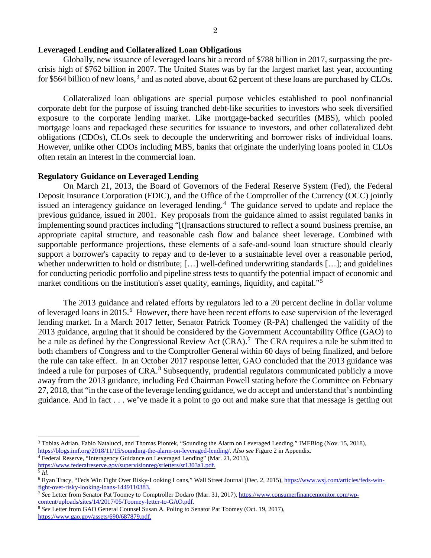#### **Leveraged Lending and Collateralized Loan Obligations**

Globally, new issuance of leveraged loans hit a record of \$788 billion in 2017, surpassing the precrisis high of \$762 billion in 2007. The United States was by far the largest market last year, accounting for \$564 billion of new loans, $^3$  $^3$  and as noted above, about 62 percent of these loans are purchased by CLOs.

Collateralized loan obligations are special purpose vehicles established to pool nonfinancial corporate debt for the purpose of issuing tranched debt-like securities to investors who seek diversified exposure to the corporate lending market. Like mortgage-backed securities (MBS), which pooled mortgage loans and repackaged these securities for issuance to investors, and other collateralized debt obligations (CDOs), CLOs seek to decouple the underwriting and borrower risks of individual loans. However, unlike other CDOs including MBS, banks that originate the underlying loans pooled in CLOs often retain an interest in the commercial loan.

### **Regulatory Guidance on Leveraged Lending**

On March 21, 2013, the Board of Governors of the Federal Reserve System (Fed), the Federal Deposit Insurance Corporation (FDIC), and the Office of the Comptroller of the Currency (OCC) jointly issued an interagency guidance on leveraged lending.<sup>[4](#page-1-1)</sup> The guidance served to update and replace the previous guidance, issued in 2001. Key proposals from the guidance aimed to assist regulated banks in implementing sound practices including "[t]ransactions structured to reflect a sound business premise, an appropriate capital structure, and reasonable cash flow and balance sheet leverage. Combined with supportable performance projections, these elements of a safe-and-sound loan structure should clearly support a borrower's capacity to repay and to de-lever to a sustainable level over a reasonable period, whether underwritten to hold or distribute; […] well-defined underwriting standards […]; and guidelines for conducting periodic portfolio and pipeline stress tests to quantify the potential impact of economic and market conditions on the institution's asset quality, earnings, liquidity, and capital."<sup>[5](#page-1-2)</sup>

The 2013 guidance and related efforts by regulators led to a 20 percent decline in dollar volume of leveraged loans in 2015.<sup>[6](#page-1-3)</sup> However, there have been recent efforts to ease supervision of the leveraged lending market. In a March 2017 letter, Senator Patrick Toomey (R-PA) challenged the validity of the 2013 guidance, arguing that it should be considered by the Government Accountability Office (GAO) to be a rule as defined by the Congressional Review Act  $(CRA)$ .<sup>[7](#page-1-4)</sup> The CRA requires a rule be submitted to both chambers of Congress and to the Comptroller General within 60 days of being finalized, and before the rule can take effect. In an October 2017 response letter, GAO concluded that the 2013 guidance was indeed a rule for purposes of CRA. [8](#page-1-5) Subsequently, prudential regulators communicated publicly a move away from the 2013 guidance, including Fed Chairman Powell stating before the Committee on February 27, 2018, that "in the case of the leverage lending guidance, we do accept and understand that's nonbinding guidance. And in fact . . . we've made it a point to go out and make sure that that message is getting out

 $\overline{a}$ 

<span id="page-1-0"></span><sup>3</sup> Tobias Adrian, Fabio Natalucci, and Thomas Piontek, "Sounding the Alarm on Leveraged Lending," IMFBlog (Nov. 15, 2018), [https://blogs.imf.org/2018/11/15/sounding-the-alarm-on-leveraged-lending/](https://blogs.imf.org/2018/11/15/sounding-the-alarm-on-leveraged-lending/A)*. Also see* Figure 2 in Appendix.

<span id="page-1-1"></span><sup>&</sup>lt;sup>4</sup> Federal Reserve, "Interagency Guidance on Leveraged Lending" (Mar. 21, 2013),

[https://www.federalreserve.gov/supervisionreg/srletters/sr1303a1.pdf.](https://www.federalreserve.gov/supervisionreg/srletters/sr1303a1.pdf)

<span id="page-1-2"></span> $^5$  *Id.* 

<span id="page-1-3"></span><sup>6</sup> Ryan Tracy, "Feds Win Fight Over Risky-Looking Loans," Wall Street Journal (Dec. 2, 2015), [https://www.wsj.com/articles/feds-win](https://www.wsj.com/articles/feds-win-fight-over-risky-looking-loans-1449110383)[fight-over-risky-looking-loans-1449110383.](https://www.wsj.com/articles/feds-win-fight-over-risky-looking-loans-1449110383)

<span id="page-1-4"></span><sup>7</sup> *See* Letter from Senator Pat Toomey to Comptroller Dodaro (Mar. 31, 2017)[, https://www.consumerfinancemonitor.com/wp](https://www.consumerfinancemonitor.com/wp-content/uploads/sites/14/2017/05/Toomey-letter-to-GAO.pdf)[content/uploads/sites/14/2017/05/Toomey-letter-to-GAO.pdf.](https://www.consumerfinancemonitor.com/wp-content/uploads/sites/14/2017/05/Toomey-letter-to-GAO.pdf)

<span id="page-1-5"></span><sup>8</sup> *See* Letter from GAO General Counsel Susan A. Poling to Senator Pat Toomey (Oct. 19, 2017), [https://www.gao.gov/assets/690/687879.pdf.](https://www.gao.gov/assets/690/687879.pdf)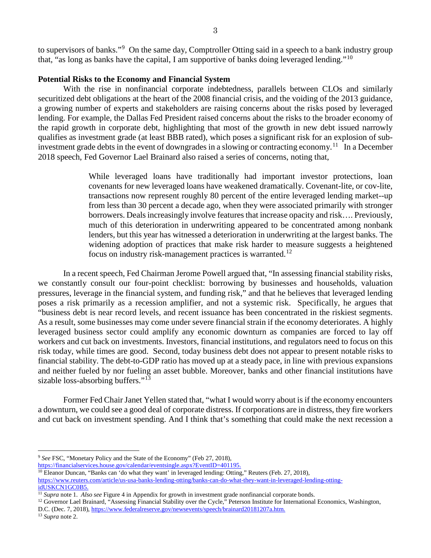to supervisors of banks."<sup>[9](#page-2-0)</sup> On the same day, Comptroller Otting said in a speech to a bank industry group that, "as long as banks have the capital, I am supportive of banks doing leveraged lending."[10](#page-2-1)

### **Potential Risks to the Economy and Financial System**

With the rise in nonfinancial corporate indebtedness, parallels between CLOs and similarly securitized debt obligations at the heart of the 2008 financial crisis, and the voiding of the 2013 guidance, a growing number of experts and stakeholders are raising concerns about the risks posed by leveraged lending. For example, the Dallas Fed President raised concerns about the risks to the broader economy of the rapid growth in corporate debt, highlighting that most of the growth in new debt issued narrowly qualifies as investment grade (at least BBB rated), which poses a significant risk for an explosion of sub-investment grade debts in the event of downgrades in a slowing or contracting economy.<sup>[11](#page-2-2)</sup> In a December 2018 speech, Fed Governor Lael Brainard also raised a series of concerns, noting that,

> While leveraged loans have traditionally had important investor protections, loan covenants for new leveraged loans have weakened dramatically. Covenant-lite, or cov-lite, transactions now represent roughly 80 percent of the entire leveraged lending market--up from less than 30 percent a decade ago, when they were associated primarily with stronger borrowers. Deals increasingly involve features that increase opacity and risk…. Previously, much of this deterioration in underwriting appeared to be concentrated among nonbank lenders, but this year has witnessed a deterioration in underwriting at the largest banks. The widening adoption of practices that make risk harder to measure suggests a heightened focus on industry risk-management practices is warranted.<sup>[12](#page-2-3)</sup>

In a recent speech, Fed Chairman Jerome Powell argued that, "In assessing financial stability risks, we constantly consult our four-point checklist: borrowing by businesses and households, valuation pressures, leverage in the financial system, and funding risk," and that he believes that leveraged lending poses a risk primarily as a recession amplifier, and not a systemic risk. Specifically, he argues that "business debt is near record levels, and recent issuance has been concentrated in the riskiest segments. As a result, some businesses may come under severe financial strain if the economy deteriorates. A highly leveraged business sector could amplify any economic downturn as companies are forced to lay off workers and cut back on investments. Investors, financial institutions, and regulators need to focus on this risk today, while times are good. Second, today business debt does not appear to present notable risks to financial stability. The debt-to-GDP ratio has moved up at a steady pace, in line with previous expansions and neither fueled by nor fueling an asset bubble. Moreover, banks and other financial institutions have sizable loss-absorbing buffers."<sup>[13](#page-2-4)</sup>

Former Fed Chair Janet Yellen stated that, "what I would worry about is if the economy encounters a downturn, we could see a good deal of corporate distress. If corporations are in distress, they fire workers and cut back on investment spending. And I think that's something that could make the next recession a

[https://financialservices.house.gov/calendar/eventsingle.aspx?EventID=401195.](https://financialservices.house.gov/calendar/eventsingle.aspx?EventID=401195)

<span id="page-2-0"></span><sup>9</sup> *See* FSC, "Monetary Policy and the State of the Economy" (Feb 27, 2018),

<span id="page-2-1"></span><sup>&</sup>lt;sup>10</sup> Eleanor Duncan, "Banks can 'do what they want' in leveraged lending: Otting," Reuters (Feb. 27, 2018), [https://www.reuters.com/article/us-usa-banks-lending-otting/banks-can-do-what-they-want-in-leveraged-lending-otting](https://www.reuters.com/article/us-usa-banks-lending-otting/banks-can-do-what-they-want-in-leveraged-lending-otting-idUSKCN1GC0B5)[idUSKCN1GC0B5.](https://www.reuters.com/article/us-usa-banks-lending-otting/banks-can-do-what-they-want-in-leveraged-lending-otting-idUSKCN1GC0B5)

<span id="page-2-2"></span><sup>&</sup>lt;sup>11</sup> *Supra* note 1. *Also see* Figure 4 in Appendix for growth in investment grade nonfinancial corporate bonds.

<span id="page-2-3"></span><sup>&</sup>lt;sup>12</sup> Governor Lael Brainard, "Assessing Financial Stability over the Cycle," Peterson Institute for International Economics, Washington,

D.C. (Dec. 7, 2018)[, https://www.federalreserve.gov/newsevents/speech/brainard20181207a.htm.](https://www.federalreserve.gov/newsevents/speech/brainard20181207a.htm)

<span id="page-2-4"></span><sup>13</sup> *Supra* note 2.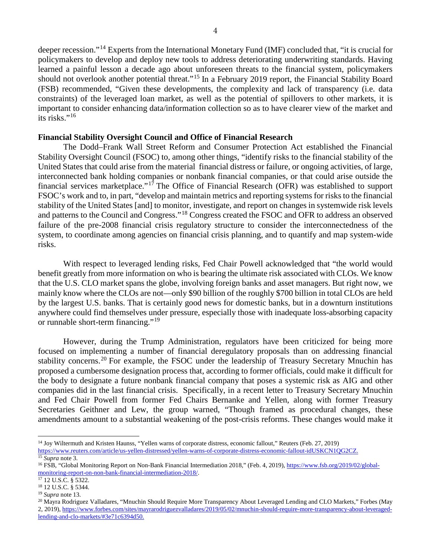deeper recession."[14](#page-3-0) Experts from the International Monetary Fund (IMF) concluded that, "it is crucial for policymakers to develop and deploy new tools to address deteriorating underwriting standards. Having learned a painful lesson a decade ago about unforeseen threats to the financial system, policymakers should not overlook another potential threat."<sup>[15](#page-3-1)</sup> In a February 2019 report, the Financial Stability Board (FSB) recommended, "Given these developments, the complexity and lack of transparency (i.e. data constraints) of the leveraged loan market, as well as the potential of spillovers to other markets, it is important to consider enhancing data/information collection so as to have clearer view of the market and its risks."[16](#page-3-2)

### **Financial Stability Oversight Council and Office of Financial Research**

The Dodd–Frank Wall Street Reform and Consumer Protection Act established the Financial Stability Oversight Council (FSOC) to, among other things, "identify risks to the financial stability of the United States that could arise from the material financial distress or failure, or ongoing activities, of large, interconnected bank holding companies or nonbank financial companies, or that could arise outside the financial services marketplace."<sup>[17](#page-3-3)</sup> The Office of Financial Research (OFR) was established to support FSOC's work and to, in part, "develop and maintain metrics and reporting systems for risks to the financial stability of the United States [and] to monitor, investigate, and report on changes in systemwide risk levels and patterns to the Council and Congress."[18](#page-3-4) Congress created the FSOC and OFR to address an observed failure of the pre-2008 financial crisis regulatory structure to consider the interconnectedness of the system, to coordinate among agencies on financial crisis planning, and to quantify and map system-wide risks.

With respect to leveraged lending risks, Fed Chair Powell acknowledged that "the world would benefit greatly from more information on who is bearing the ultimate risk associated with CLOs. We know that the U.S. CLO market spans the globe, involving foreign banks and asset managers. But right now, we mainly know where the CLOs are not—only \$90 billion of the roughly \$700 billion in total CLOs are held by the largest U.S. banks. That is certainly good news for domestic banks, but in a downturn institutions anywhere could find themselves under pressure, especially those with inadequate loss-absorbing capacity or runnable short-term financing."[19](#page-3-5)

However, during the Trump Administration, regulators have been criticized for being more focused on implementing a number of financial deregulatory proposals than on addressing financial stability concerns.<sup>[20](#page-3-6)</sup> For example, the FSOC under the leadership of Treasury Secretary Mnuchin has proposed a cumbersome designation process that, according to former officials, could make it difficult for the body to designate a future nonbank financial company that poses a systemic risk as AIG and other companies did in the last financial crisis. Specifically, in a recent letter to Treasury Secretary Mnuchin and Fed Chair Powell from former Fed Chairs Bernanke and Yellen, along with former Treasury Secretaries Geithner and Lew, the group warned, "Though framed as procedural changes, these amendments amount to a substantial weakening of the post-crisis reforms. These changes would make it

 $\overline{a}$ 

<span id="page-3-0"></span><sup>14</sup> Joy Wiltermuth and Kristen Haunss, "Yellen warns of corporate distress, economic fallout," Reuters (Feb. 27, 2019)

<span id="page-3-1"></span>[https://www.reuters.com/article/us-yellen-distressed/yellen-warns-of-corporate-distress-economic-fallout-idUSKCN1QG2CZ.](https://www.reuters.com/article/us-yellen-distressed/yellen-warns-of-corporate-distress-economic-fallout-idUSKCN1QG2CZ) <sup>15</sup> *Supra* note 3.

<span id="page-3-2"></span><sup>&</sup>lt;sup>16</sup> FSB, "Global Monitoring Report on Non-Bank Financial Intermediation 2018," (Feb. 4, 2019)[, https://www.fsb.org/2019/02/global](https://www.fsb.org/2019/02/global-monitoring-report-on-non-bank-financial-intermediation-2018/)[monitoring-report-on-non-bank-financial-intermediation-2018/.](https://www.fsb.org/2019/02/global-monitoring-report-on-non-bank-financial-intermediation-2018/) 17 12 U.S.C. § 5322.

<span id="page-3-4"></span><span id="page-3-3"></span><sup>18</sup> 12 U.S.C. § 5344.

<span id="page-3-5"></span><sup>19</sup> *Supra* note 13.

<span id="page-3-6"></span><sup>&</sup>lt;sup>20</sup> Mayra Rodriguez Valladares, "Mnuchin Should Require More Transparency About Leveraged Lending and CLO Markets," Forbes (May 2, 2019)[, https://www.forbes.com/sites/mayrarodriguezvalladares/2019/05/02/mnuchin-should-require-more-transparency-about-leveraged](https://www.forbes.com/sites/mayrarodriguezvalladares/2019/05/02/mnuchin-should-require-more-transparency-about-leveraged-lending-and-clo-markets/#3e71c6394d50)[lending-and-clo-markets/#3e71c6394d50.](https://www.forbes.com/sites/mayrarodriguezvalladares/2019/05/02/mnuchin-should-require-more-transparency-about-leveraged-lending-and-clo-markets/#3e71c6394d50)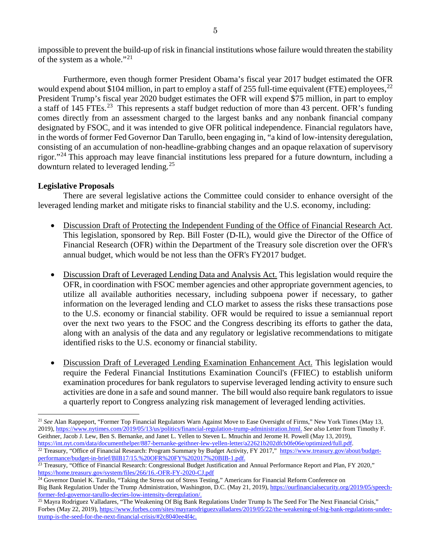impossible to prevent the build-up of risk in financial institutions whose failure would threaten the stability of the system as a whole."[21](#page-4-0)

Furthermore, even though former President Obama's fiscal year 2017 budget estimated the OFR would expend about \$104 million, in part to employ a staff of 255 full-time equivalent (FTE) employees,  $^{22}$  $^{22}$  $^{22}$ President Trump's fiscal year 2020 budget estimates the OFR will expend \$75 million, in part to employ a staff of 145 FTEs.<sup>[23](#page-4-2)</sup> This represents a staff budget reduction of more than 43 percent. OFR's funding comes directly from an assessment charged to the largest banks and any nonbank financial company designated by FSOC, and it was intended to give OFR political independence. Financial regulators have, in the words of former Fed Governor Dan Tarullo, been engaging in, "a kind of low-intensity deregulation, consisting of an accumulation of non-headline-grabbing changes and an opaque relaxation of supervisory rigor."[24](#page-4-3) This approach may leave financial institutions less prepared for a future downturn, including a downturn related to leveraged lending.<sup>[25](#page-4-4)</sup>

## **Legislative Proposals**

There are several legislative actions the Committee could consider to enhance oversight of the leveraged lending market and mitigate risks to financial stability and the U.S. economy, including:

- Discussion Draft of Protecting the Independent Funding of the Office of Financial Research Act. This legislation, sponsored by Rep. Bill Foster (D-IL), would give the Director of the Office of Financial Research (OFR) within the Department of the Treasury sole discretion over the OFR's annual budget, which would be not less than the OFR's FY2017 budget.
- Discussion Draft of Leveraged Lending Data and Analysis Act. This legislation would require the OFR, in coordination with FSOC member agencies and other appropriate government agencies, to utilize all available authorities necessary, including subpoena power if necessary, to gather information on the leveraged lending and CLO market to assess the risks these transactions pose to the U.S. economy or financial stability. OFR would be required to issue a semiannual report over the next two years to the FSOC and the Congress describing its efforts to gather the data, along with an analysis of the data and any regulatory or legislative recommendations to mitigate identified risks to the U.S. economy or financial stability.
- Discussion Draft of Leveraged Lending Examination Enhancement Act. This legislation would require the Federal Financial Institutions Examination Council's (FFIEC) to establish uniform examination procedures for bank regulators to supervise leveraged lending activity to ensure such activities are done in a safe and sound manner. The bill would also require bank regulators to issue a quarterly report to Congress analyzing risk management of leveraged lending activities.

<span id="page-4-0"></span> $\overline{a}$ <sup>21</sup> *See* Alan Rappeport, "Former Top Financial Regulators Warn Against Move to Ease Oversight of Firms," New York Times (May 13, 2019)[, https://www.nytimes.com/2019/05/13/us/politics/financial-regulation-trump-administration.html.](https://www.nytimes.com/2019/05/13/us/politics/financial-regulation-trump-administration.html) *See also* Letter from Timothy F. Geithner, Jacob J. Lew, Ben S. Bernanke, and Janet L. Yellen to Steven L. Mnuchin and Jerome H. Powell (May 13, 2019), [https://int.nyt.com/data/documenthelper/887-bernanke-geithner-lew-yellen-letter/a22621b202dfcb0fe06e/optimized/full.pdf.](https://int.nyt.com/data/documenthelper/887-bernanke-geithner-lew-yellen-letter/a22621b202dfcb0fe06e/optimized/full.pdf)

<span id="page-4-1"></span><sup>&</sup>lt;sup>22</sup> Treasury, "Office of Financial Research: Program Summary by Budget Activity, FY 2017," [https://www.treasury.gov/about/budget](https://www.treasury.gov/about/budget-performance/budget-in-brief/BIB17/15.%20OFR%20FY%202017%20BIB-1.pdf)[performance/budget-in-brief/BIB17/15.%20OFR%20FY%202017%20BIB-1.pdf.](https://www.treasury.gov/about/budget-performance/budget-in-brief/BIB17/15.%20OFR%20FY%202017%20BIB-1.pdf)

<span id="page-4-2"></span><sup>&</sup>lt;sup>23</sup> Treasury, "Office of Financial Research: Congressional Budget Justification and Annual Performance Report and Plan, FY 2020," <https://home.treasury.gov/system/files/266/16.-OFR-FY-2020-CJ.pdf>

<span id="page-4-3"></span> $24$  Governor Daniel K. Tarullo, "Taking the Stress out of Stress Testing," Americans for Financial Reform Conference on Big Bank Regulation Under the Trump Administration, Washington, D.C. (May 21, 2019), [https://ourfinancialsecurity.org/2019/05/speech](https://ourfinancialsecurity.org/2019/05/speech-former-fed-governor-tarullo-decries-low-intensity-deregulation/)[former-fed-governor-tarullo-decries-low-intensity-deregulation/.](https://ourfinancialsecurity.org/2019/05/speech-former-fed-governor-tarullo-decries-low-intensity-deregulation/)

<span id="page-4-4"></span> $25$  Mayra Rodriguez Valladares, "The Weakening Of Big Bank Regulations Under Trump Is The Seed For The Next Financial Crisis," Forbes (May 22, 2019)[, https://www.forbes.com/sites/mayrarodriguezvalladares/2019/05/22/the-weakening-of-big-bank-regulations-under](https://www.forbes.com/sites/mayrarodriguezvalladares/2019/05/22/the-weakening-of-big-bank-regulations-under-trump-is-the-seed-for-the-next-financial-crisis/#2c8040ee4f4c)[trump-is-the-seed-for-the-next-financial-crisis/#2c8040ee4f4c.](https://www.forbes.com/sites/mayrarodriguezvalladares/2019/05/22/the-weakening-of-big-bank-regulations-under-trump-is-the-seed-for-the-next-financial-crisis/#2c8040ee4f4c)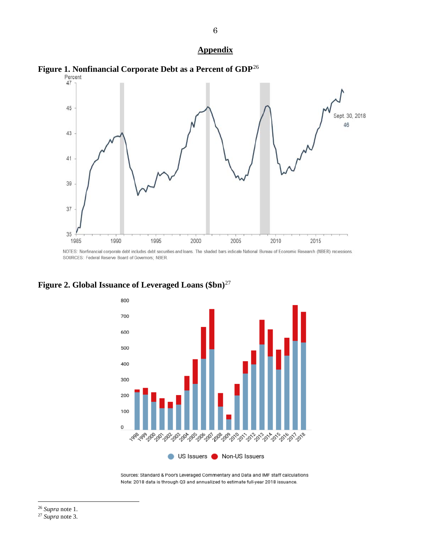#### **Appendix**



NOTES: Nonfinancial corporate debt includes debt securities and loans. The shaded bars indicate National Bureau of Economic Research (NBER) recessions. SOURCES: Federal Reserve Board of Governors; NBER.



**Figure 2. Global Issuance of Leveraged Loans (\$bn)**[27](#page-5-1)

Sources: Standard & Poor's Leveraged Commentary and Data and IMF staff calculations Note: 2018 data is through Q3 and annualized to estimate full-year 2018 issuance.

<span id="page-5-0"></span><sup>26</sup> *Supra* note 1.

<span id="page-5-1"></span><sup>27</sup> *Supra* note 3.